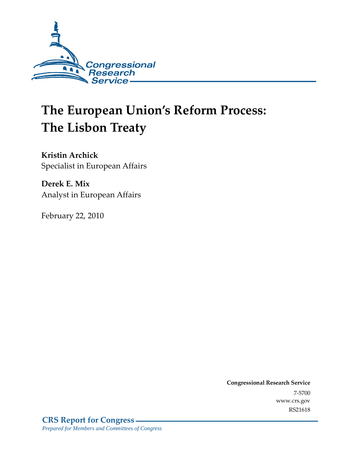

# **The European Union's Reform Process: The Lisbon Treaty**

**Kristin Archick**  Specialist in European Affairs

**Derek E. Mix**  Analyst in European Affairs

February 22, 2010

**Congressional Research Service** 7-5700 www.crs.gov RS21618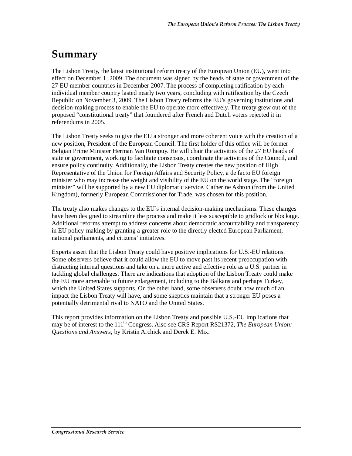### **Summary**

The Lisbon Treaty, the latest institutional reform treaty of the European Union (EU), went into effect on December 1, 2009. The document was signed by the heads of state or government of the 27 EU member countries in December 2007. The process of completing ratification by each individual member country lasted nearly two years, concluding with ratification by the Czech Republic on November 3, 2009. The Lisbon Treaty reforms the EU's governing institutions and decision-making process to enable the EU to operate more effectively. The treaty grew out of the proposed "constitutional treaty" that foundered after French and Dutch voters rejected it in referendums in 2005.

The Lisbon Treaty seeks to give the EU a stronger and more coherent voice with the creation of a new position, President of the European Council. The first holder of this office will be former Belgian Prime Minister Herman Van Rompuy. He will chair the activities of the 27 EU heads of state or government, working to facilitate consensus, coordinate the activities of the Council, and ensure policy continuity. Additionally, the Lisbon Treaty creates the new position of High Representative of the Union for Foreign Affairs and Security Policy, a de facto EU foreign minister who may increase the weight and visibility of the EU on the world stage. The "foreign minister" will be supported by a new EU diplomatic service. Catherine Ashton (from the United Kingdom), formerly European Commissioner for Trade, was chosen for this position.

The treaty also makes changes to the EU's internal decision-making mechanisms. These changes have been designed to streamline the process and make it less susceptible to gridlock or blockage. Additional reforms attempt to address concerns about democratic accountability and transparency in EU policy-making by granting a greater role to the directly elected European Parliament, national parliaments, and citizens' initiatives.

Experts assert that the Lisbon Treaty could have positive implications for U.S.-EU relations. Some observers believe that it could allow the EU to move past its recent preoccupation with distracting internal questions and take on a more active and effective role as a U.S. partner in tackling global challenges. There are indications that adoption of the Lisbon Treaty could make the EU more amenable to future enlargement, including to the Balkans and perhaps Turkey, which the United States supports. On the other hand, some observers doubt how much of an impact the Lisbon Treaty will have, and some skeptics maintain that a stronger EU poses a potentially detrimental rival to NATO and the United States.

This report provides information on the Lisbon Treaty and possible U.S.-EU implications that may be of interest to the 111<sup>th</sup> Congress. Also see CRS Report RS21372, *The European Union: Questions and Answers*, by Kristin Archick and Derek E. Mix.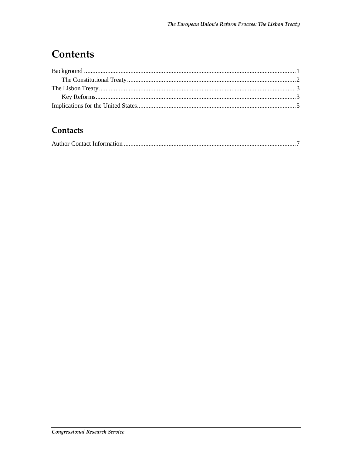### Contents

#### Contacts

|--|--|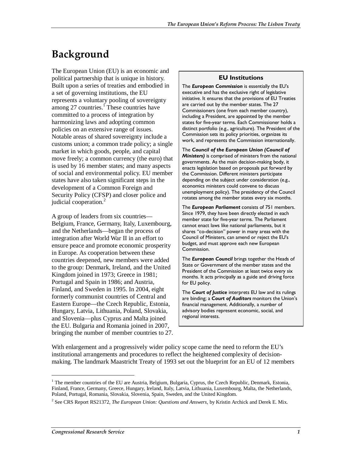## **Background**

The European Union (EU) is an economic and political partnership that is unique in history. Built upon a series of treaties and embodied in a set of governing institutions, the EU represents a voluntary pooling of sovereignty among 27 countries.<sup>1</sup> These countries have committed to a process of integration by harmonizing laws and adopting common policies on an extensive range of issues. Notable areas of shared sovereignty include a customs union; a common trade policy; a single market in which goods, people, and capital move freely; a common currency (the euro) that is used by 16 member states; and many aspects of social and environmental policy. EU member states have also taken significant steps in the development of a Common Foreign and Security Policy (CFSP) and closer police and judicial cooperation.<sup>2</sup>

A group of leaders from six countries— Belgium, France, Germany, Italy, Luxembourg, and the Netherlands—began the process of integration after World War II in an effort to ensure peace and promote economic prosperity in Europe. As cooperation between these countries deepened, new members were added to the group: Denmark, Ireland, and the United Kingdom joined in 1973; Greece in 1981; Portugal and Spain in 1986; and Austria, Finland, and Sweden in 1995. In 2004, eight formerly communist countries of Central and Eastern Europe—the Czech Republic, Estonia, Hungary, Latvia, Lithuania, Poland, Slovakia, and Slovenia—plus Cyprus and Malta joined the EU. Bulgaria and Romania joined in 2007, bringing the number of member countries to 27.

#### **EU Institutions**

The *European Commission* is essentially the EU's executive and has the exclusive right of legislative initiative. It ensures that the provisions of EU Treaties are carried out by the member states. The 27 Commissioners (one from each member country), including a President, are appointed by the member states for five-year terms. Each Commissioner holds a distinct portfolio (e.g., agriculture). The President of the Commission sets its policy priorities, organizes its work, and represents the Commission internationally.

The *Council of the European Union (Council of Ministers)* is comprised of ministers from the national governments. As the main decision-making body, it enacts legislation based on proposals put forward by the Commission. Different ministers participate depending on the subject under consideration (e.g., economics ministers could convene to discuss unemployment policy). The presidency of the Council rotates among the member states every six months.

The *European Parliament* consists of 751 members. Since 1979, they have been directly elected in each member state for five-year terms. The Parliament cannot enact laws like national parliaments, but it shares "co-decision" power in many areas with the Council of Ministers, can amend or reject the EU's budget, and must approve each new European Commission.

The *European Council* brings together the Heads of State or Government of the member states and the President of the Commission at least twice every six months. It acts principally as a guide and driving force for EU policy.

The *Court of Justice* interprets EU law and its rulings are binding; a *Court of Auditors* monitors the Union's financial management. Additionally, a number of advisory bodies represent economic, social, and regional interests.

With enlargement and a progressively wider policy scope came the need to reform the EU's institutional arrangements and procedures to reflect the heightened complexity of decisionmaking. The landmark Maastricht Treaty of 1993 set out the blueprint for an EU of 12 members

<u>.</u>

<sup>&</sup>lt;sup>1</sup> The member countries of the EU are Austria, Belgium, Bulgaria, Cyprus, the Czech Republic, Denmark, Estonia, Finland, France, Germany, Greece, Hungary, Ireland, Italy, Latvia, Lithuania, Luxembourg, Malta, the Netherlands, Poland, Portugal, Romania, Slovakia, Slovenia, Spain, Sweden, and the United Kingdom.

<sup>2</sup> See CRS Report RS21372, *The European Union: Questions and Answers*, by Kristin Archick and Derek E. Mix.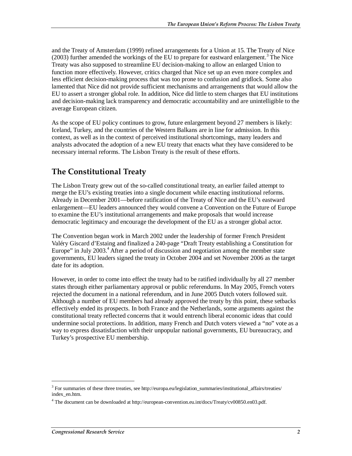and the Treaty of Amsterdam (1999) refined arrangements for a Union at 15. The Treaty of Nice  $(2003)$  further amended the workings of the EU to prepare for eastward enlargement.<sup>3</sup> The Nice Treaty was also supposed to streamline EU decision-making to allow an enlarged Union to function more effectively. However, critics charged that Nice set up an even more complex and less efficient decision-making process that was too prone to confusion and gridlock. Some also lamented that Nice did not provide sufficient mechanisms and arrangements that would allow the EU to assert a stronger global role. In addition, Nice did little to stem charges that EU institutions and decision-making lack transparency and democratic accountability and are unintelligible to the average European citizen.

As the scope of EU policy continues to grow, future enlargement beyond 27 members is likely: Iceland, Turkey, and the countries of the Western Balkans are in line for admission. In this context, as well as in the context of perceived institutional shortcomings, many leaders and analysts advocated the adoption of a new EU treaty that enacts what they have considered to be necessary internal reforms. The Lisbon Treaty is the result of these efforts.

#### **The Constitutional Treaty**

The Lisbon Treaty grew out of the so-called constitutional treaty, an earlier failed attempt to merge the EU's existing treaties into a single document while enacting institutional reforms. Already in December 2001—before ratification of the Treaty of Nice and the EU's eastward enlargement—EU leaders announced they would convene a Convention on the Future of Europe to examine the EU's institutional arrangements and make proposals that would increase democratic legitimacy and encourage the development of the EU as a stronger global actor.

The Convention began work in March 2002 under the leadership of former French President Valéry Giscard d'Estaing and finalized a 240-page "Draft Treaty establishing a Constitution for Europe" in July 2003.<sup>4</sup> After a period of discussion and negotiation among the member state governments, EU leaders signed the treaty in October 2004 and set November 2006 as the target date for its adoption.

However, in order to come into effect the treaty had to be ratified individually by all 27 member states through either parliamentary approval or public referendums. In May 2005, French voters rejected the document in a national referendum, and in June 2005 Dutch voters followed suit. Although a number of EU members had already approved the treaty by this point, these setbacks effectively ended its prospects. In both France and the Netherlands, some arguments against the constitutional treaty reflected concerns that it would entrench liberal economic ideas that could undermine social protections. In addition, many French and Dutch voters viewed a "no" vote as a way to express dissatisfaction with their unpopular national governments, EU bureaucracy, and Turkey's prospective EU membership.

1

 $3$  For summaries of these three treaties, see http://europa.eu/legislation\_summaries/institutional\_affairs/treaties/ index\_en.htm.

<sup>&</sup>lt;sup>4</sup> The document can be downloaded at http://european-convention.eu.int/docs/Treaty/cv00850.en03.pdf.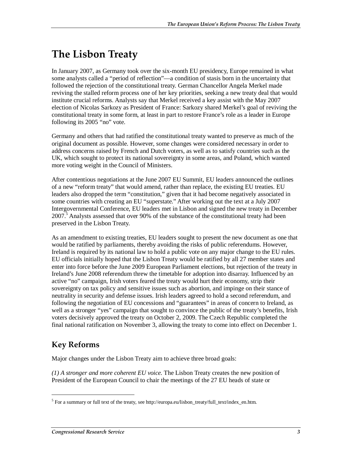### **The Lisbon Treaty**

In January 2007, as Germany took over the six-month EU presidency, Europe remained in what some analysts called a "period of reflection"—a condition of stasis born in the uncertainty that followed the rejection of the constitutional treaty. German Chancellor Angela Merkel made reviving the stalled reform process one of her key priorities, seeking a new treaty deal that would institute crucial reforms. Analysts say that Merkel received a key assist with the May 2007 election of Nicolas Sarkozy as President of France: Sarkozy shared Merkel's goal of reviving the constitutional treaty in some form, at least in part to restore France's role as a leader in Europe following its 2005 "no" vote.

Germany and others that had ratified the constitutional treaty wanted to preserve as much of the original document as possible. However, some changes were considered necessary in order to address concerns raised by French and Dutch voters, as well as to satisfy countries such as the UK, which sought to protect its national sovereignty in some areas, and Poland, which wanted more voting weight in the Council of Ministers.

After contentious negotiations at the June 2007 EU Summit, EU leaders announced the outlines of a new "reform treaty" that would amend, rather than replace, the existing EU treaties. EU leaders also dropped the term "constitution," given that it had become negatively associated in some countries with creating an EU "superstate." After working out the text at a July 2007 Intergovernmental Conference, EU leaders met in Lisbon and signed the new treaty in December 2007.<sup>5</sup> Analysts assessed that over 90% of the substance of the constitutional treaty had been preserved in the Lisbon Treaty.

As an amendment to existing treaties, EU leaders sought to present the new document as one that would be ratified by parliaments, thereby avoiding the risks of public referendums. However, Ireland is required by its national law to hold a public vote on any major change to the EU rules. EU officials initially hoped that the Lisbon Treaty would be ratified by all 27 member states and enter into force before the June 2009 European Parliament elections, but rejection of the treaty in Ireland's June 2008 referendum threw the timetable for adoption into disarray. Influenced by an active "no" campaign, Irish voters feared the treaty would hurt their economy, strip their sovereignty on tax policy and sensitive issues such as abortion, and impinge on their stance of neutrality in security and defense issues. Irish leaders agreed to hold a second referendum, and following the negotiation of EU concessions and "guarantees" in areas of concern to Ireland, as well as a stronger "yes" campaign that sought to convince the public of the treaty's benefits, Irish voters decisively approved the treaty on October 2, 2009. The Czech Republic completed the final national ratification on November 3, allowing the treaty to come into effect on December 1.

### **Key Reforms**

1

Major changes under the Lisbon Treaty aim to achieve three broad goals:

*(1) A stronger and more coherent EU voice.* The Lisbon Treaty creates the new position of President of the European Council to chair the meetings of the 27 EU heads of state or

<sup>&</sup>lt;sup>5</sup> For a summary or full text of the treaty, see http://europa.eu/lisbon\_treaty/full\_text/index\_en.htm.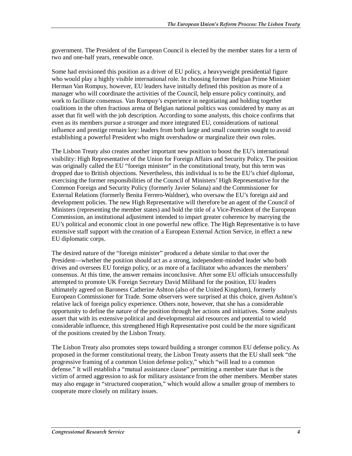government. The President of the European Council is elected by the member states for a term of two and one-half years, renewable once.

Some had envisioned this position as a driver of EU policy, a heavyweight presidential figure who would play a highly visible international role. In choosing former Belgian Prime Minister Herman Van Rompuy, however, EU leaders have initially defined this position as more of a manager who will coordinate the activities of the Council, help ensure policy continuity, and work to facilitate consensus. Van Rompuy's experience in negotiating and holding together coalitions in the often fractious arena of Belgian national politics was considered by many as an asset that fit well with the job description. According to some analysts, this choice confirms that even as its members pursue a stronger and more integrated EU, considerations of national influence and prestige remain key: leaders from both large and small countries sought to avoid establishing a powerful President who might overshadow or marginalize their own roles.

The Lisbon Treaty also creates another important new position to boost the EU's international visibility: High Representative of the Union for Foreign Affairs and Security Policy. The position was originally called the EU "foreign minister" in the constitutional treaty, but this term was dropped due to British objections. Nevertheless, this individual is to be the EU's chief diplomat, exercising the former responsibilities of the Council of Ministers' High Representative for the Common Foreign and Security Policy (formerly Javier Solana) and the Commissioner for External Relations (formerly Benita Ferrero-Waldner), who oversaw the EU's foreign aid and development policies. The new High Representative will therefore be an agent of the Council of Ministers (representing the member states) and hold the title of a Vice-President of the European Commission, an institutional adjustment intended to impart greater coherence by marrying the EU's political and economic clout in one powerful new office. The High Representative is to have extensive staff support with the creation of a European External Action Service, in effect a new EU diplomatic corps.

The desired nature of the "foreign minister" produced a debate similar to that over the President—whether the position should act as a strong, independent-minded leader who both drives and oversees EU foreign policy, or as more of a facilitator who advances the members' consensus. At this time, the answer remains inconclusive. After some EU officials unsuccessfully attempted to promote UK Foreign Secretary David Miliband for the position, EU leaders ultimately agreed on Baroness Catherine Ashton (also of the United Kingdom), formerly European Commissioner for Trade. Some observers were surprised at this choice, given Ashton's relative lack of foreign policy experience. Others note, however, that she has a considerable opportunity to define the nature of the position through her actions and initiatives. Some analysts assert that with its extensive political and developmental aid resources and potential to wield considerable influence, this strengthened High Representative post could be the more significant of the positions created by the Lisbon Treaty.

The Lisbon Treaty also promotes steps toward building a stronger common EU defense policy. As proposed in the former constitutional treaty, the Lisbon Treaty asserts that the EU shall seek "the progressive framing of a common Union defense policy," which "will lead to a common defense." It will establish a "mutual assistance clause" permitting a member state that is the victim of armed aggression to ask for military assistance from the other members. Member states may also engage in "structured cooperation," which would allow a smaller group of members to cooperate more closely on military issues.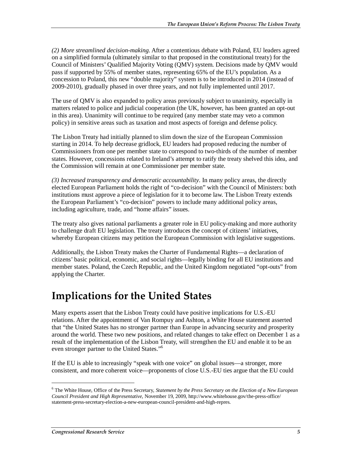*(2) More streamlined decision-making*. After a contentious debate with Poland, EU leaders agreed on a simplified formula (ultimately similar to that proposed in the constitutional treaty) for the Council of Ministers' Qualified Majority Voting (QMV) system. Decisions made by QMV would pass if supported by 55% of member states, representing 65% of the EU's population. As a concession to Poland, this new "double majority" system is to be introduced in 2014 (instead of 2009-2010), gradually phased in over three years, and not fully implemented until 2017.

The use of QMV is also expanded to policy areas previously subject to unanimity, especially in matters related to police and judicial cooperation (the UK, however, has been granted an opt-out in this area). Unanimity will continue to be required (any member state may veto a common policy) in sensitive areas such as taxation and most aspects of foreign and defense policy.

The Lisbon Treaty had initially planned to slim down the size of the European Commission starting in 2014. To help decrease gridlock, EU leaders had proposed reducing the number of Commissioners from one per member state to correspond to two-thirds of the number of member states. However, concessions related to Ireland's attempt to ratify the treaty shelved this idea, and the Commission will remain at one Commissioner per member state.

*(3) Increased transparency and democratic accountability*. In many policy areas, the directly elected European Parliament holds the right of "co-decision" with the Council of Ministers: both institutions must approve a piece of legislation for it to become law. The Lisbon Treaty extends the European Parliament's "co-decision" powers to include many additional policy areas, including agriculture, trade, and "home affairs" issues.

The treaty also gives national parliaments a greater role in EU policy-making and more authority to challenge draft EU legislation. The treaty introduces the concept of citizens' initiatives, whereby European citizens may petition the European Commission with legislative suggestions.

Additionally, the Lisbon Treaty makes the Charter of Fundamental Rights—a declaration of citizens' basic political, economic, and social rights—legally binding for all EU institutions and member states. Poland, the Czech Republic, and the United Kingdom negotiated "opt-outs" from applying the Charter.

### **Implications for the United States**

Many experts assert that the Lisbon Treaty could have positive implications for U.S.-EU relations. After the appointment of Van Rompuy and Ashton, a White House statement asserted that "the United States has no stronger partner than Europe in advancing security and prosperity around the world. These two new positions, and related changes to take effect on December 1 as a result of the implementation of the Lisbon Treaty, will strengthen the EU and enable it to be an even stronger partner to the United States."6

If the EU is able to increasingly "speak with one voice" on global issues—a stronger, more consistent, and more coherent voice—proponents of close U.S.-EU ties argue that the EU could

1

<sup>6</sup> The White House, Office of the Press Secretary, *Statement by the Press Secretary on the Election of a New European Council President and High Representative*, November 19, 2009, http://www.whitehouse.gov/the-press-office/ statement-press-secretary-election-a-new-european-council-president-and-high-repres.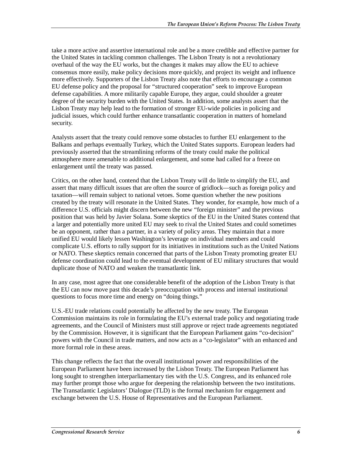take a more active and assertive international role and be a more credible and effective partner for the United States in tackling common challenges. The Lisbon Treaty is not a revolutionary overhaul of the way the EU works, but the changes it makes may allow the EU to achieve consensus more easily, make policy decisions more quickly, and project its weight and influence more effectively. Supporters of the Lisbon Treaty also note that efforts to encourage a common EU defense policy and the proposal for "structured cooperation" seek to improve European defense capabilities. A more militarily capable Europe, they argue, could shoulder a greater degree of the security burden with the United States. In addition, some analysts assert that the Lisbon Treaty may help lead to the formation of stronger EU-wide policies in policing and judicial issues, which could further enhance transatlantic cooperation in matters of homeland security.

Analysts assert that the treaty could remove some obstacles to further EU enlargement to the Balkans and perhaps eventually Turkey, which the United States supports. European leaders had previously asserted that the streamlining reforms of the treaty could make the political atmosphere more amenable to additional enlargement, and some had called for a freeze on enlargement until the treaty was passed.

Critics, on the other hand, contend that the Lisbon Treaty will do little to simplify the EU, and assert that many difficult issues that are often the source of gridlock—such as foreign policy and taxation—will remain subject to national vetoes. Some question whether the new positions created by the treaty will resonate in the United States. They wonder, for example, how much of a difference U.S. officials might discern between the new "foreign minister" and the previous position that was held by Javier Solana. Some skeptics of the EU in the United States contend that a larger and potentially more united EU may seek to rival the United States and could sometimes be an opponent, rather than a partner, in a variety of policy areas. They maintain that a more unified EU would likely lessen Washington's leverage on individual members and could complicate U.S. efforts to rally support for its initiatives in institutions such as the United Nations or NATO. These skeptics remain concerned that parts of the Lisbon Treaty promoting greater EU defense coordination could lead to the eventual development of EU military structures that would duplicate those of NATO and weaken the transatlantic link.

In any case, most agree that one considerable benefit of the adoption of the Lisbon Treaty is that the EU can now move past this decade's preoccupation with process and internal institutional questions to focus more time and energy on "doing things."

U.S.-EU trade relations could potentially be affected by the new treaty. The European Commission maintains its role in formulating the EU's external trade policy and negotiating trade agreements, and the Council of Ministers must still approve or reject trade agreements negotiated by the Commission. However, it is significant that the European Parliament gains "co-decision" powers with the Council in trade matters, and now acts as a "co-legislator" with an enhanced and more formal role in these areas.

This change reflects the fact that the overall institutional power and responsibilities of the European Parliament have been increased by the Lisbon Treaty. The European Parliament has long sought to strengthen interparliamentary ties with the U.S. Congress, and its enhanced role may further prompt those who argue for deepening the relationship between the two institutions. The Transatlantic Legislators' Dialogue (TLD) is the formal mechanism for engagement and exchange between the U.S. House of Representatives and the European Parliament.